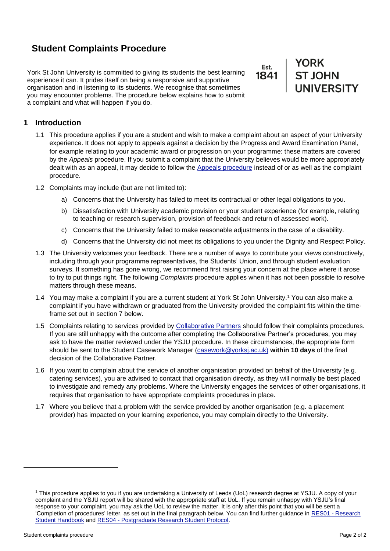# **Student Complaints Procedure**

York St John University is committed to giving its students the best learning experience it can. It prides itself on being a responsive and supportive organisation and in listening to its students. We recognise that sometimes you may encounter problems. The procedure below explains how to submit a complaint and what will happen if you do.

Est.

YORK<br>ST JOHN<br>UNIVERSITY

# **1 Introduction**

- 1.1 This procedure applies if you are a student and wish to make a complaint about an aspect of your University experience. It does not apply to appeals against a decision by the Progress and Award Examination Panel, for example relating to your academic award or progression on your programme: these matters are covered by the *Appeals* procedure. If you submit a complaint that the University believes would be more appropriately dealt with as an appeal, it may decide to follow the Appeals procedure instead of or as well as the complaint procedure.
- 1.2 Complaints may include (but are not limited to):
	- a) Concerns that the University has failed to meet its contractual or other legal obligations to you.
	- b) Dissatisfaction with University academic provision or your student experience (for example, relating to teaching or research supervision, provision of feedback and return of assessed work).
	- c) Concerns that the University failed to make reasonable adjustments in the case of a disability.
	- d) Concerns that the University did not meet its obligations to you under the Dignity and Respect Policy.
- 1.3 The University welcomes your feedback. There are a number of ways to contribute your views constructively, including through your programme representatives, the Students' Union, and through student evaluation surveys. If something has gone wrong, we recommend first raising your concern at the place where it arose to try to put things right. The following *Complaints* procedure applies when it has not been possible to resolve matters through these means.
- 1.4 You may make a complaint if you are a current student at York St John University.<sup>1</sup> You can also make a complaint if you have withdrawn or graduated from the University provided the complaint fits within the timeframe set out in section 7 below.
- 1.5 Complaints relating to services provided by [Collaborative Partners](https://www.yorksj.ac.uk/quality-gateway/collaborative-provision/our-partners/) should follow their complaints procedures. If you are still unhappy with the outcome after completing the Collaborative Partner's procedures, you may ask to have the matter reviewed under the YSJU procedure. In these circumstances, the appropriate form should be sent to the Student Casework Manager (casework@yorksj.ac.uk) **within 10 days** of the final decision of the Collaborative Partner.
- 1.6 If you want to complain about the service of another organisation provided on behalf of the University (e.g. catering services), you are advised to contact that organisation directly, as they will normally be best placed to investigate and remedy any problems. Where the University engages the services of other organisations, it requires that organisation to have appropriate complaints procedures in place.
- 1.7 Where you believe that a problem with the service provided by another organisation (e.g. a placement provider) has impacted on your learning experience, you may complain directly to the University.

<sup>1</sup> This procedure applies to you if you are undertaking a University of Leeds (UoL) research degree at YSJU. A copy of your complaint and the YSJU report will be shared with the appropriate staff at UoL. If you remain unhappy with YSJU's final response to your complaint, you may ask the UoL to review the matter. It is only after this point that you will be sent a 'Completion of procedures' letter, as set out in the final paragraph below. You can find further guidance in RES01 - [Research](about:blank)  [Student Handbook](about:blank) and RES04 - [Postgraduate Research Student Protocol.](about:blank)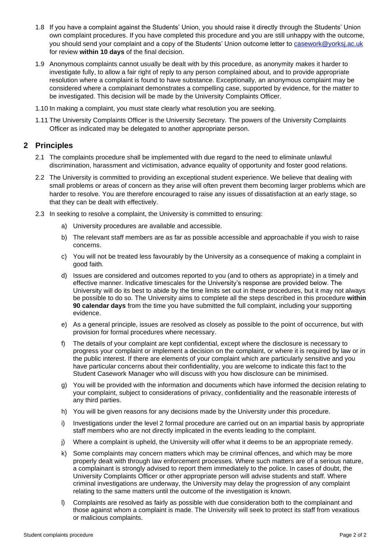- 1.8 If you have a complaint against the Students' Union, you should raise it directly through the Students' Union own complaint procedures. If you have completed this procedure and you are still unhappy with the outcome, you should send your complaint and a copy of the Students' Union outcome letter to casework@yorksj.ac.uk for review **within 10 days** of the final decision.
- 1.9 Anonymous complaints cannot usually be dealt with by this procedure, as anonymity makes it harder to investigate fully, to allow a fair right of reply to any person complained about, and to provide appropriate resolution where a complaint is found to have substance. Exceptionally, an anonymous complaint may be considered where a complainant demonstrates a compelling case, supported by evidence, for the matter to be investigated. This decision will be made by the University Complaints Officer.
- 1.10 In making a complaint, you must state clearly what resolution you are seeking.
- 1.11 The University Complaints Officer is the University Secretary. The powers of the University Complaints Officer as indicated may be delegated to another appropriate person.

# **2 Principles**

- 2.1 The complaints procedure shall be implemented with due regard to the need to eliminate unlawful discrimination, harassment and victimisation, advance equality of opportunity and foster good relations.
- 2.2 The University is committed to providing an exceptional student experience. We believe that dealing with small problems or areas of concern as they arise will often prevent them becoming larger problems which are harder to resolve. You are therefore encouraged to raise any issues of dissatisfaction at an early stage, so that they can be dealt with effectively.
- 2.3 In seeking to resolve a complaint, the University is committed to ensuring:
	- a) University procedures are available and accessible.
	- b) The relevant staff members are as far as possible accessible and approachable if you wish to raise concerns.
	- c) You will not be treated less favourably by the University as a consequence of making a complaint in good faith.
	- d) Issues are considered and outcomes reported to you (and to others as appropriate) in a timely and effective manner. Indicative timescales for the University's response are provided below. The University will do its best to abide by the time limits set out in these procedures, but it may not always be possible to do so. The University aims to complete all the steps described in this procedure **within 90 calendar days** from the time you have submitted the full complaint, including your supporting evidence.
	- e) As a general principle, issues are resolved as closely as possible to the point of occurrence, but with provision for formal procedures where necessary.
	- f) The details of your complaint are kept confidential, except where the disclosure is necessary to progress your complaint or implement a decision on the complaint, or where it is required by law or in the public interest. If there are elements of your complaint which are particularly sensitive and you have particular concerns about their confidentiality, you are welcome to indicate this fact to the Student Casework Manager who will discuss with you how disclosure can be minimised.
	- g) You will be provided with the information and documents which have informed the decision relating to your complaint, subject to considerations of privacy, confidentiality and the reasonable interests of any third parties.
	- h) You will be given reasons for any decisions made by the University under this procedure.
	- i) Investigations under the level 2 formal procedure are carried out on an impartial basis by appropriate staff members who are not directly implicated in the events leading to the complaint.
	- j) Where a complaint is upheld, the University will offer what it deems to be an appropriate remedy.
	- k) Some complaints may concern matters which may be criminal offences, and which may be more properly dealt with through law enforcement processes. Where such matters are of a serious nature, a complainant is strongly advised to report them immediately to the police. In cases of doubt, the University Complaints Officer or other appropriate person will advise students and staff. Where criminal investigations are underway, the University may delay the progression of any complaint relating to the same matters until the outcome of the investigation is known.
	- l) Complaints are resolved as fairly as possible with due consideration both to the complainant and those against whom a complaint is made. The University will seek to protect its staff from vexatious or malicious complaints.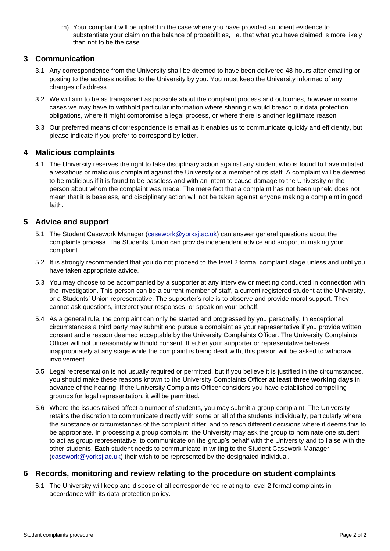m) Your complaint will be upheld in the case where you have provided sufficient evidence to substantiate your claim on the balance of probabilities, i.e. that what you have claimed is more likely than not to be the case.

## **3 Communication**

- 3.1 Any correspondence from the University shall be deemed to have been delivered 48 hours after emailing or posting to the address notified to the University by you. You must keep the University informed of any changes of address.
- 3.2 We will aim to be as transparent as possible about the complaint process and outcomes, however in some cases we may have to withhold particular information where sharing it would breach our data protection obligations, where it might compromise a legal process, or where there is another legitimate reason
- 3.3 Our preferred means of correspondence is email as it enables us to communicate quickly and efficiently, but please indicate if you prefer to correspond by letter.

# **4 Malicious complaints**

4.1 The University reserves the right to take disciplinary action against any student who is found to have initiated a vexatious or malicious complaint against the University or a member of its staff. A complaint will be deemed to be malicious if it is found to be baseless and with an intent to cause damage to the University or the person about whom the complaint was made. The mere fact that a complaint has not been upheld does not mean that it is baseless, and disciplinary action will not be taken against anyone making a complaint in good faith.

# **5 Advice and support**

- 5.1 The Student Casework Manager (casework@yorksj.ac.uk) can answer general questions about the complaints process. The Students' Union can provide independent advice and support in making your complaint.
- 5.2 It is strongly recommended that you do not proceed to the level 2 formal complaint stage unless and until you have taken appropriate advice.
- 5.3 You may choose to be accompanied by a supporter at any interview or meeting conducted in connection with the investigation. This person can be a current member of staff, a current registered student at the University, or a Students' Union representative. The supporter's role is to observe and provide moral support. They cannot ask questions, interpret your responses, or speak on your behalf.
- 5.4 As a general rule, the complaint can only be started and progressed by you personally. In exceptional circumstances a third party may submit and pursue a complaint as your representative if you provide written consent and a reason deemed acceptable by the University Complaints Officer. The University Complaints Officer will not unreasonably withhold consent. If either your supporter or representative behaves inappropriately at any stage while the complaint is being dealt with, this person will be asked to withdraw involvement.
- 5.5 Legal representation is not usually required or permitted, but if you believe it is justified in the circumstances, you should make these reasons known to the University Complaints Officer **at least three working days** in advance of the hearing. If the University Complaints Officer considers you have established compelling grounds for legal representation, it will be permitted.
- 5.6 Where the issues raised affect a number of students, you may submit a group complaint. The University retains the discretion to communicate directly with some or all of the students individually, particularly where the substance or circumstances of the complaint differ, and to reach different decisions where it deems this to be appropriate. In processing a group complaint, the University may ask the group to nominate one student to act as group representative, to communicate on the group's behalf with the University and to liaise with the other students. Each student needs to communicate in writing to the Student Casework Manager (casework@yorksj.ac.uk) their wish to be represented by the designated individual.

### **6 Records, monitoring and review relating to the procedure on student complaints**

6.1 The University will keep and dispose of all correspondence relating to level 2 formal complaints in accordance with its data protection policy.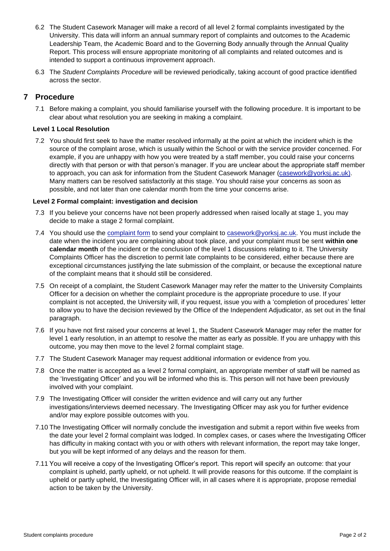- 6.2 The Student Casework Manager will make a record of all level 2 formal complaints investigated by the University. This data will inform an annual summary report of complaints and outcomes to the Academic Leadership Team, the Academic Board and to the Governing Body annually through the Annual Quality Report. This process will ensure appropriate monitoring of all complaints and related outcomes and is intended to support a continuous improvement approach.
- 6.3 The *Student Complaints Procedure* will be reviewed periodically, taking account of good practice identified across the sector.

# **7 Procedure**

7.1 Before making a complaint, you should familiarise yourself with the following procedure. It is important to be clear about what resolution you are seeking in making a complaint.

#### **Level 1 Local Resolution**

7.2 You should first seek to have the matter resolved informally at the point at which the incident which is the source of the complaint arose, which is usually within the School or with the service provider concerned. For example, if you are unhappy with how you were treated by a staff member, you could raise your concerns directly with that person or with that person's manager. If you are unclear about the appropriate staff member to approach, you can ask for information from the Student Casework Manager (casework@yorksj.ac.uk). Many matters can be resolved satisfactorily at this stage. You should raise your concerns as soon as possible, and not later than one calendar month from the time your concerns arise.

#### **Level 2 Formal complaint: investigation and decision**

- 7.3 If you believe your concerns have not been properly addressed when raised locally at stage 1, you may decide to make a stage 2 formal complaint.
- 7.4 You should use the [complaint form](https://www.yorksj.ac.uk/policies-and-documents/appeals-and-complaints/) to send your complaint to casework@yorksj.ac.uk. You must include the date when the incident you are complaining about took place, and your complaint must be sent **within one calendar month** of the incident or the conclusion of the level 1 discussions relating to it. The University Complaints Officer has the discretion to permit late complaints to be considered, either because there are exceptional circumstances justifying the late submission of the complaint, or because the exceptional nature of the complaint means that it should still be considered.
- 7.5 On receipt of a complaint, the Student Casework Manager may refer the matter to the University Complaints Officer for a decision on whether the complaint procedure is the appropriate procedure to use. If your complaint is not accepted, the University will, if you request, issue you with a 'completion of procedures' letter to allow you to have the decision reviewed by the Office of the Independent Adjudicator, as set out in the final paragraph.
- 7.6 If you have not first raised your concerns at level 1, the Student Casework Manager may refer the matter for level 1 early resolution, in an attempt to resolve the matter as early as possible. If you are unhappy with this outcome, you may then move to the level 2 formal complaint stage.
- 7.7 The Student Casework Manager may request additional information or evidence from you.
- 7.8 Once the matter is accepted as a level 2 formal complaint, an appropriate member of staff will be named as the 'Investigating Officer' and you will be informed who this is. This person will not have been previously involved with your complaint.
- 7.9 The Investigating Officer will consider the written evidence and will carry out any further investigations/interviews deemed necessary. The Investigating Officer may ask you for further evidence and/or may explore possible outcomes with you.
- 7.10 The Investigating Officer will normally conclude the investigation and submit a report within five weeks from the date your level 2 formal complaint was lodged. In complex cases, or cases where the Investigating Officer has difficulty in making contact with you or with others with relevant information, the report may take longer, but you will be kept informed of any delays and the reason for them.
- 7.11 You will receive a copy of the Investigating Officer's report. This report will specify an outcome: that your complaint is upheld, partly upheld, or not upheld. It will provide reasons for this outcome. If the complaint is upheld or partly upheld, the Investigating Officer will, in all cases where it is appropriate, propose remedial action to be taken by the University.